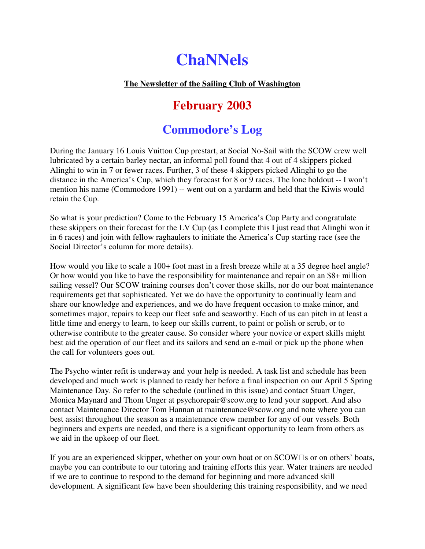# **ChaNNels**

# **The Newsletter of the Sailing Club of Washington**

# **February 2003**

# **Commodore's Log**

During the January 16 Louis Vuitton Cup prestart, at Social No-Sail with the SCOW crew well lubricated by a certain barley nectar, an informal poll found that 4 out of 4 skippers picked Alinghi to win in 7 or fewer races. Further, 3 of these 4 skippers picked Alinghi to go the distance in the America's Cup, which they forecast for 8 or 9 races. The lone holdout -- I won't mention his name (Commodore 1991) -- went out on a yardarm and held that the Kiwis would retain the Cup.

So what is your prediction? Come to the February 15 America's Cup Party and congratulate these skippers on their forecast for the LV Cup (as I complete this I just read that Alinghi won it in 6 races) and join with fellow raghaulers to initiate the America's Cup starting race (see the Social Director's column for more details).

How would you like to scale a 100+ foot mast in a fresh breeze while at a 35 degree heel angle? Or how would you like to have the responsibility for maintenance and repair on an \$8+ million sailing vessel? Our SCOW training courses don't cover those skills, nor do our boat maintenance requirements get that sophisticated. Yet we do have the opportunity to continually learn and share our knowledge and experiences, and we do have frequent occasion to make minor, and sometimes major, repairs to keep our fleet safe and seaworthy. Each of us can pitch in at least a little time and energy to learn, to keep our skills current, to paint or polish or scrub, or to otherwise contribute to the greater cause. So consider where your novice or expert skills might best aid the operation of our fleet and its sailors and send an e-mail or pick up the phone when the call for volunteers goes out.

The Psycho winter refit is underway and your help is needed. A task list and schedule has been developed and much work is planned to ready her before a final inspection on our April 5 Spring Maintenance Day. So refer to the schedule (outlined in this issue) and contact Stuart Unger, Monica Maynard and Thom Unger at psychorepair@scow.org to lend your support. And also contact Maintenance Director Tom Hannan at maintenance@scow.org and note where you can best assist throughout the season as a maintenance crew member for any of our vessels. Both beginners and experts are needed, and there is a significant opportunity to learn from others as we aid in the upkeep of our fleet.

If you are an experienced skipper, whether on your own boat or on SCOW s or on others' boats, maybe you can contribute to our tutoring and training efforts this year. Water trainers are needed if we are to continue to respond to the demand for beginning and more advanced skill development. A significant few have been shouldering this training responsibility, and we need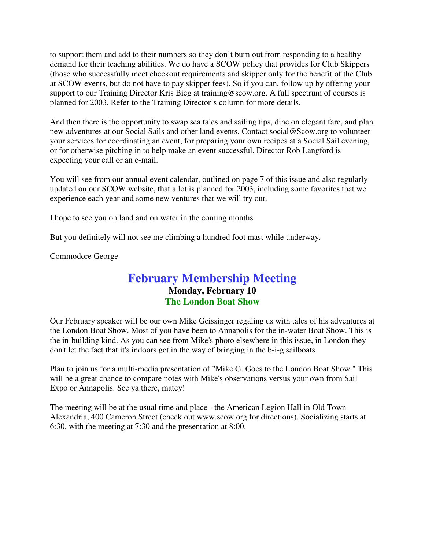to support them and add to their numbers so they don't burn out from responding to a healthy demand for their teaching abilities. We do have a SCOW policy that provides for Club Skippers (those who successfully meet checkout requirements and skipper only for the benefit of the Club at SCOW events, but do not have to pay skipper fees). So if you can, follow up by offering your support to our Training Director Kris Bieg at training@scow.org. A full spectrum of courses is planned for 2003. Refer to the Training Director's column for more details.

And then there is the opportunity to swap sea tales and sailing tips, dine on elegant fare, and plan new adventures at our Social Sails and other land events. Contact social@Scow.org to volunteer your services for coordinating an event, for preparing your own recipes at a Social Sail evening, or for otherwise pitching in to help make an event successful. Director Rob Langford is expecting your call or an e-mail.

You will see from our annual event calendar, outlined on page 7 of this issue and also regularly updated on our SCOW website, that a lot is planned for 2003, including some favorites that we experience each year and some new ventures that we will try out.

I hope to see you on land and on water in the coming months.

But you definitely will not see me climbing a hundred foot mast while underway.

Commodore George

# **February Membership Meeting Monday, February 10 The London Boat Show**

Our February speaker will be our own Mike Geissinger regaling us with tales of his adventures at the London Boat Show. Most of you have been to Annapolis for the in-water Boat Show. This is the in-building kind. As you can see from Mike's photo elsewhere in this issue, in London they don't let the fact that it's indoors get in the way of bringing in the b-i-g sailboats.

Plan to join us for a multi-media presentation of "Mike G. Goes to the London Boat Show." This will be a great chance to compare notes with Mike's observations versus your own from Sail Expo or Annapolis. See ya there, matey!

The meeting will be at the usual time and place - the American Legion Hall in Old Town Alexandria, 400 Cameron Street (check out www.scow.org for directions). Socializing starts at 6:30, with the meeting at 7:30 and the presentation at 8:00.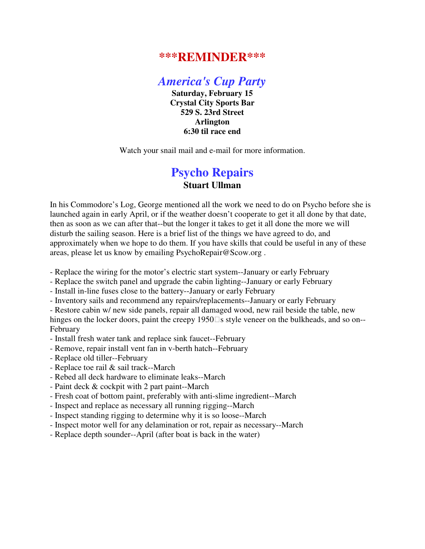# **\*\*\*REMINDER\*\*\***

*America's Cup Party*

**Saturday, February 15 Crystal City Sports Bar 529 S. 23rd Street Arlington 6:30 til race end**

Watch your snail mail and e-mail for more information.

# **Psycho Repairs Stuart Ullman**

In his Commodore's Log, George mentioned all the work we need to do on Psycho before she is launched again in early April, or if the weather doesn't cooperate to get it all done by that date, then as soon as we can after that--but the longer it takes to get it all done the more we will disturb the sailing season. Here is a brief list of the things we have agreed to do, and approximately when we hope to do them. If you have skills that could be useful in any of these areas, please let us know by emailing PsychoRepair@Scow.org .

- Replace the wiring for the motor's electric start system--January or early February
- Replace the switch panel and upgrade the cabin lighting--January or early February
- Install in-line fuses close to the battery--January or early February
- Inventory sails and recommend any repairs/replacements--January or early February

- Restore cabin w/ new side panels, repair all damaged wood, new rail beside the table, new hinges on the locker doors, paint the creepy 1950 s style veneer on the bulkheads, and so on--February

- Install fresh water tank and replace sink faucet--February
- Remove, repair install vent fan in v-berth hatch--February
- Replace old tiller--February
- Replace toe rail & sail track--March
- Rebed all deck hardware to eliminate leaks--March
- Paint deck & cockpit with 2 part paint--March
- Fresh coat of bottom paint, preferably with anti-slime ingredient--March
- Inspect and replace as necessary all running rigging--March
- Inspect standing rigging to determine why it is so loose--March
- Inspect motor well for any delamination or rot, repair as necessary--March
- Replace depth sounder--April (after boat is back in the water)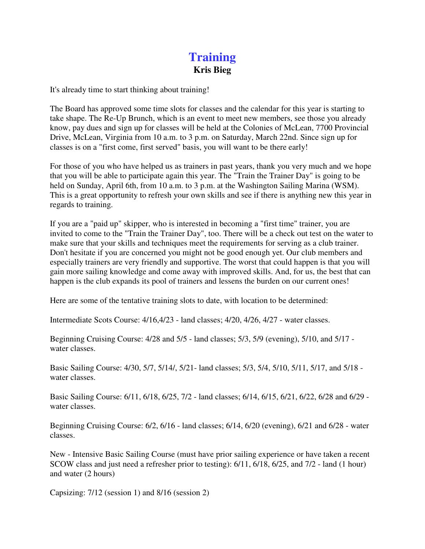# **Training Kris Bieg**

It's already time to start thinking about training!

The Board has approved some time slots for classes and the calendar for this year is starting to take shape. The Re-Up Brunch, which is an event to meet new members, see those you already know, pay dues and sign up for classes will be held at the Colonies of McLean, 7700 Provincial Drive, McLean, Virginia from 10 a.m. to 3 p.m. on Saturday, March 22nd. Since sign up for classes is on a "first come, first served" basis, you will want to be there early!

For those of you who have helped us as trainers in past years, thank you very much and we hope that you will be able to participate again this year. The "Train the Trainer Day" is going to be held on Sunday, April 6th, from 10 a.m. to 3 p.m. at the Washington Sailing Marina (WSM). This is a great opportunity to refresh your own skills and see if there is anything new this year in regards to training.

If you are a "paid up" skipper, who is interested in becoming a "first time" trainer, you are invited to come to the "Train the Trainer Day", too. There will be a check out test on the water to make sure that your skills and techniques meet the requirements for serving as a club trainer. Don't hesitate if you are concerned you might not be good enough yet. Our club members and especially trainers are very friendly and supportive. The worst that could happen is that you will gain more sailing knowledge and come away with improved skills. And, for us, the best that can happen is the club expands its pool of trainers and lessens the burden on our current ones!

Here are some of the tentative training slots to date, with location to be determined:

Intermediate Scots Course: 4/16,4/23 - land classes; 4/20, 4/26, 4/27 - water classes.

Beginning Cruising Course: 4/28 and 5/5 - land classes; 5/3, 5/9 (evening), 5/10, and 5/17 water classes.

Basic Sailing Course: 4/30, 5/7, 5/14/, 5/21- land classes; 5/3, 5/4, 5/10, 5/11, 5/17, and 5/18 water classes.

Basic Sailing Course: 6/11, 6/18, 6/25, 7/2 - land classes; 6/14, 6/15, 6/21, 6/22, 6/28 and 6/29 water classes.

Beginning Cruising Course: 6/2, 6/16 - land classes; 6/14, 6/20 (evening), 6/21 and 6/28 - water classes.

New - Intensive Basic Sailing Course (must have prior sailing experience or have taken a recent SCOW class and just need a refresher prior to testing): 6/11, 6/18, 6/25, and 7/2 - land (1 hour) and water (2 hours)

Capsizing: 7/12 (session 1) and 8/16 (session 2)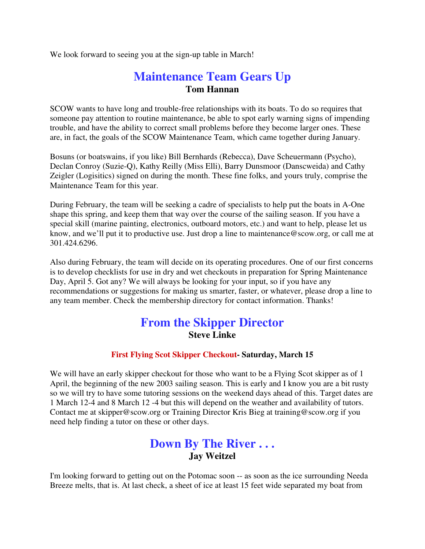We look forward to seeing you at the sign-up table in March!

# **Maintenance Team Gears Up Tom Hannan**

SCOW wants to have long and trouble-free relationships with its boats. To do so requires that someone pay attention to routine maintenance, be able to spot early warning signs of impending trouble, and have the ability to correct small problems before they become larger ones. These are, in fact, the goals of the SCOW Maintenance Team, which came together during January.

Bosuns (or boatswains, if you like) Bill Bernhards (Rebecca), Dave Scheuermann (Psycho), Declan Conroy (Suzie-Q), Kathy Reilly (Miss Elli), Barry Dunsmoor (Danscweida) and Cathy Zeigler (Logisitics) signed on during the month. These fine folks, and yours truly, comprise the Maintenance Team for this year.

During February, the team will be seeking a cadre of specialists to help put the boats in A-One shape this spring, and keep them that way over the course of the sailing season. If you have a special skill (marine painting, electronics, outboard motors, etc.) and want to help, please let us know, and we'll put it to productive use. Just drop a line to maintenance@scow.org, or call me at 301.424.6296.

Also during February, the team will decide on its operating procedures. One of our first concerns is to develop checklists for use in dry and wet checkouts in preparation for Spring Maintenance Day, April 5. Got any? We will always be looking for your input, so if you have any recommendations or suggestions for making us smarter, faster, or whatever, please drop a line to any team member. Check the membership directory for contact information. Thanks!

# **From the Skipper Director Steve Linke**

### **First Flying Scot Skipper Checkout- Saturday, March 15**

We will have an early skipper checkout for those who want to be a Flying Scot skipper as of 1 April, the beginning of the new 2003 sailing season. This is early and I know you are a bit rusty so we will try to have some tutoring sessions on the weekend days ahead of this. Target dates are 1 March 12-4 and 8 March 12 -4 but this will depend on the weather and availability of tutors. Contact me at skipper@scow.org or Training Director Kris Bieg at training@scow.org if you need help finding a tutor on these or other days.

# **Down By The River . . . Jay Weitzel**

I'm looking forward to getting out on the Potomac soon -- as soon as the ice surrounding Needa Breeze melts, that is. At last check, a sheet of ice at least 15 feet wide separated my boat from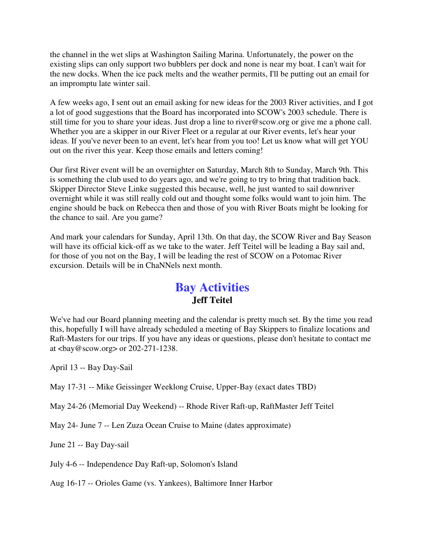the channel in the wet slips at Washington Sailing Marina. Unfortunately, the power on the existing slips can only support two bubblers per dock and none is near my boat. I can't wait for the new docks. When the ice pack melts and the weather permits, I'll be putting out an email for an impromptu late winter sail.

A few weeks ago, I sent out an email asking for new ideas for the 2003 River activities, and I got a lot of good suggestions that the Board has incorporated into SCOW's 2003 schedule. There is still time for you to share your ideas. Just drop a line to river@scow.org or give me a phone call. Whether you are a skipper in our River Fleet or a regular at our River events, let's hear your ideas. If you've never been to an event, let's hear from you too! Let us know what will get YOU out on the river this year. Keep those emails and letters coming!

Our first River event will be an overnighter on Saturday, March 8th to Sunday, March 9th. This is something the club used to do years ago, and we're going to try to bring that tradition back. Skipper Director Steve Linke suggested this because, well, he just wanted to sail downriver overnight while it was still really cold out and thought some folks would want to join him. The engine should be back on Rebecca then and those of you with River Boats might be looking for the chance to sail. Are you game?

And mark your calendars for Sunday, April 13th. On that day, the SCOW River and Bay Season will have its official kick-off as we take to the water. Jeff Teitel will be leading a Bay sail and, for those of you not on the Bay, I will be leading the rest of SCOW on a Potomac River excursion. Details will be in ChaNNels next month.

# **Bay Activities Jeff Teitel**

We've had our Board planning meeting and the calendar is pretty much set. By the time you read this, hopefully I will have already scheduled a meeting of Bay Skippers to finalize locations and Raft-Masters for our trips. If you have any ideas or questions, please don't hesitate to contact me at <bay@scow.org> or 202-271-1238.

April 13 -- Bay Day-Sail

May 17-31 -- Mike Geissinger Weeklong Cruise, Upper-Bay (exact dates TBD)

May 24-26 (Memorial Day Weekend) -- Rhode River Raft-up, RaftMaster Jeff Teitel

May 24- June 7 -- Len Zuza Ocean Cruise to Maine (dates approximate)

June 21 -- Bay Day-sail

July 4-6 -- Independence Day Raft-up, Solomon's Island

Aug 16-17 -- Orioles Game (vs. Yankees), Baltimore Inner Harbor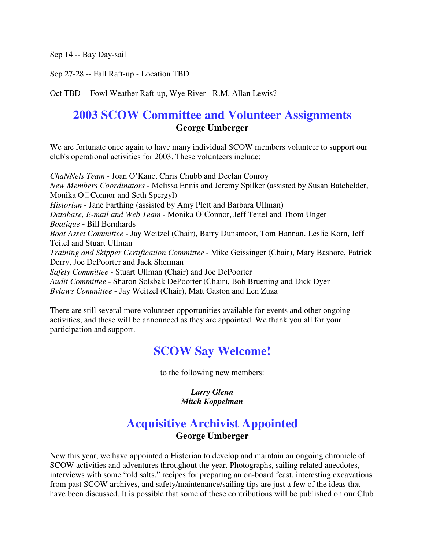Sep 14 -- Bay Day-sail

Sep 27-28 -- Fall Raft-up - Location TBD

Oct TBD -- Fowl Weather Raft-up, Wye River - R.M. Allan Lewis?

# **2003 SCOW Committee and Volunteer Assignments George Umberger**

We are fortunate once again to have many individual SCOW members volunteer to support our club's operational activities for 2003. These volunteers include:

*ChaNNels Team -* Joan O'Kane, Chris Chubb and Declan Conroy *New Members Coordinators* - Melissa Ennis and Jeremy Spilker (assisted by Susan Batchelder, Monika O Connor and Seth Spergyl) *Historian* - Jane Farthing (assisted by Amy Plett and Barbara Ullman) *Database, E-mail and Web Team* - Monika O'Connor, Jeff Teitel and Thom Unger *Boatique* - Bill Bernhards *Boat Asset Committee* - Jay Weitzel (Chair), Barry Dunsmoor, Tom Hannan. Leslie Korn, Jeff Teitel and Stuart Ullman *Training and Skipper Certification Committee* - Mike Geissinger (Chair), Mary Bashore, Patrick Derry, Joe DePoorter and Jack Sherman *Safety Committee -* Stuart Ullman (Chair) and Joe DePoorter *Audit Committee* - Sharon Solsbak DePoorter (Chair), Bob Bruening and Dick Dyer *Bylaws Committee* - Jay Weitzel (Chair), Matt Gaston and Len Zuza

There are still several more volunteer opportunities available for events and other ongoing activities, and these will be announced as they are appointed. We thank you all for your participation and support.

# **SCOW Say Welcome!**

to the following new members:

*Larry Glenn Mitch Koppelman*

# **Acquisitive Archivist Appointed George Umberger**

New this year, we have appointed a Historian to develop and maintain an ongoing chronicle of SCOW activities and adventures throughout the year. Photographs, sailing related anecdotes, interviews with some "old salts," recipes for preparing an on-board feast, interesting excavations from past SCOW archives, and safety/maintenance/sailing tips are just a few of the ideas that have been discussed. It is possible that some of these contributions will be published on our Club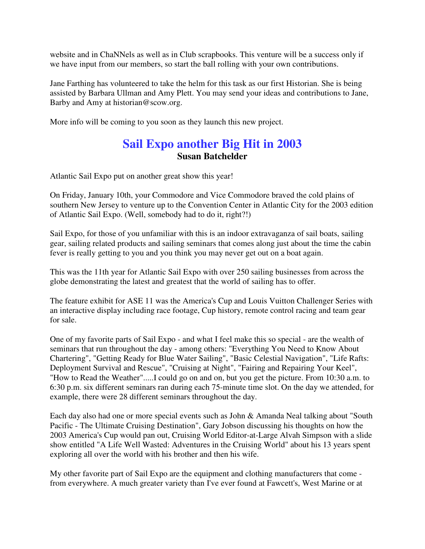website and in ChaNNels as well as in Club scrapbooks. This venture will be a success only if we have input from our members, so start the ball rolling with your own contributions.

Jane Farthing has volunteered to take the helm for this task as our first Historian. She is being assisted by Barbara Ullman and Amy Plett. You may send your ideas and contributions to Jane, Barby and Amy at historian@scow.org.

More info will be coming to you soon as they launch this new project.

# **Sail Expo another Big Hit in 2003 Susan Batchelder**

Atlantic Sail Expo put on another great show this year!

On Friday, January 10th, your Commodore and Vice Commodore braved the cold plains of southern New Jersey to venture up to the Convention Center in Atlantic City for the 2003 edition of Atlantic Sail Expo. (Well, somebody had to do it, right?!)

Sail Expo, for those of you unfamiliar with this is an indoor extravaganza of sail boats, sailing gear, sailing related products and sailing seminars that comes along just about the time the cabin fever is really getting to you and you think you may never get out on a boat again.

This was the 11th year for Atlantic Sail Expo with over 250 sailing businesses from across the globe demonstrating the latest and greatest that the world of sailing has to offer.

The feature exhibit for ASE 11 was the America's Cup and Louis Vuitton Challenger Series with an interactive display including race footage, Cup history, remote control racing and team gear for sale.

One of my favorite parts of Sail Expo - and what I feel make this so special - are the wealth of seminars that run throughout the day - among others: "Everything You Need to Know About Chartering", "Getting Ready for Blue Water Sailing", "Basic Celestial Navigation", "Life Rafts: Deployment Survival and Rescue", "Cruising at Night", "Fairing and Repairing Your Keel", "How to Read the Weather".....I could go on and on, but you get the picture. From 10:30 a.m. to 6:30 p.m. six different seminars ran during each 75-minute time slot. On the day we attended, for example, there were 28 different seminars throughout the day.

Each day also had one or more special events such as John & Amanda Neal talking about "South Pacific - The Ultimate Cruising Destination", Gary Jobson discussing his thoughts on how the 2003 America's Cup would pan out, Cruising World Editor-at-Large Alvah Simpson with a slide show entitled "A Life Well Wasted: Adventures in the Cruising World" about his 13 years spent exploring all over the world with his brother and then his wife.

My other favorite part of Sail Expo are the equipment and clothing manufacturers that come from everywhere. A much greater variety than I've ever found at Fawcett's, West Marine or at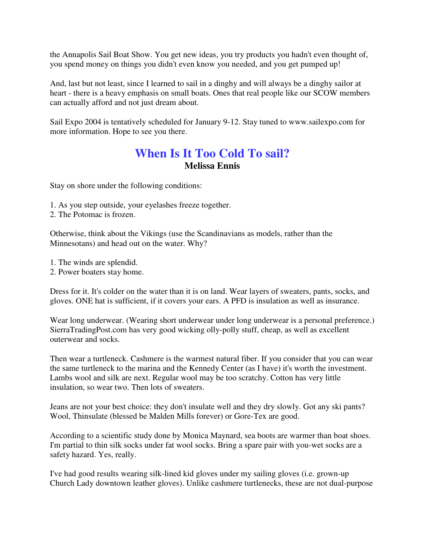the Annapolis Sail Boat Show. You get new ideas, you try products you hadn't even thought of, you spend money on things you didn't even know you needed, and you get pumped up!

And, last but not least, since I learned to sail in a dinghy and will always be a dinghy sailor at heart - there is a heavy emphasis on small boats. Ones that real people like our SCOW members can actually afford and not just dream about.

Sail Expo 2004 is tentatively scheduled for January 9-12. Stay tuned to www.sailexpo.com for more information. Hope to see you there.

# **When Is It Too Cold To sail? Melissa Ennis**

Stay on shore under the following conditions:

- 1. As you step outside, your eyelashes freeze together.
- 2. The Potomac is frozen.

Otherwise, think about the Vikings (use the Scandinavians as models, rather than the Minnesotans) and head out on the water. Why?

- 1. The winds are splendid.
- 2. Power boaters stay home.

Dress for it. It's colder on the water than it is on land. Wear layers of sweaters, pants, socks, and gloves. ONE hat is sufficient, if it covers your ears. A PFD is insulation as well as insurance.

Wear long underwear. (Wearing short underwear under long underwear is a personal preference.) SierraTradingPost.com has very good wicking olly-polly stuff, cheap, as well as excellent outerwear and socks.

Then wear a turtleneck. Cashmere is the warmest natural fiber. If you consider that you can wear the same turtleneck to the marina and the Kennedy Center (as I have) it's worth the investment. Lambs wool and silk are next. Regular wool may be too scratchy. Cotton has very little insulation, so wear two. Then lots of sweaters.

Jeans are not your best choice: they don't insulate well and they dry slowly. Got any ski pants? Wool, Thinsulate (blessed be Malden Mills forever) or Gore-Tex are good.

According to a scientific study done by Monica Maynard, sea boots are warmer than boat shoes. I'm partial to thin silk socks under fat wool socks. Bring a spare pair with you-wet socks are a safety hazard. Yes, really.

I've had good results wearing silk-lined kid gloves under my sailing gloves (i.e. grown-up Church Lady downtown leather gloves). Unlike cashmere turtlenecks, these are not dual-purpose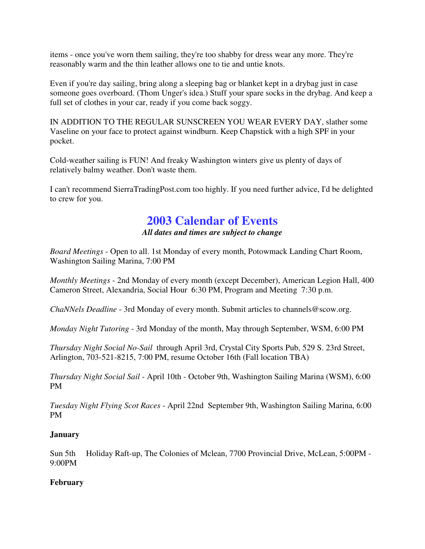items - once you've worn them sailing, they're too shabby for dress wear any more. They're reasonably warm and the thin leather allows one to tie and untie knots.

Even if you're day sailing, bring along a sleeping bag or blanket kept in a drybag just in case someone goes overboard. (Thom Unger's idea.) Stuff your spare socks in the drybag. And keep a full set of clothes in your car, ready if you come back soggy.

IN ADDITION TO THE REGULAR SUNSCREEN YOU WEAR EVERY DAY, slather some Vaseline on your face to protect against windburn. Keep Chapstick with a high SPF in your pocket.

Cold-weather sailing is FUN! And freaky Washington winters give us plenty of days of relatively balmy weather. Don't waste them.

I can't recommend SierraTradingPost.com too highly. If you need further advice, I'd be delighted to crew for you.

# **2003 Calendar of Events**

*All dates and times are subject to change*

*Board Meetings* - Open to all. 1st Monday of every month, Potowmack Landing Chart Room, Washington Sailing Marina, 7:00 PM

*Monthly Meetings* - 2nd Monday of every month (except December), American Legion Hall, 400 Cameron Street, Alexandria, Social Hour 6:30 PM, Program and Meeting 7:30 p.m.

*ChaNNels Deadline* - 3rd Monday of every month. Submit articles to channels@scow.org.

*Monday Night Tutoring* - 3rd Monday of the month, May through September, WSM, 6:00 PM

*Thursday Night Social No-Sail* through April 3rd, Crystal City Sports Pub, 529 S. 23rd Street, Arlington, 703-521-8215, 7:00 PM, resume October 16th (Fall location TBA)

*Thursday Night Social Sail* - April 10th - October 9th, Washington Sailing Marina (WSM), 6:00 PM

*Tuesday Night Flying Scot Races* - April 22nd September 9th, Washington Sailing Marina, 6:00 PM

### **January**

Sun 5th Holiday Raft-up, The Colonies of Mclean, 7700 Provincial Drive, McLean, 5:00PM - 9:00PM

### **February**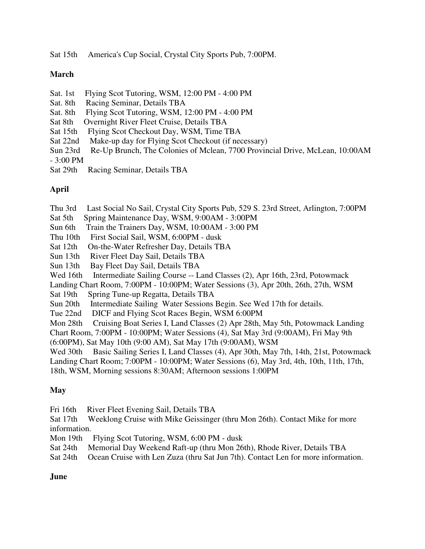Sat 15th America's Cup Social, Crystal City Sports Pub, 7:00PM.

### **March**

- Sat. 1st Flying Scot Tutoring, WSM, 12:00 PM 4:00 PM
- Sat. 8th Racing Seminar, Details TBA
- Sat. 8th Flying Scot Tutoring, WSM, 12:00 PM 4:00 PM
- Sat 8th Overnight River Fleet Cruise, Details TBA
- Sat 15th Flying Scot Checkout Day, WSM, Time TBA
- Sat 22nd Make-up day for Flying Scot Checkout (if necessary)
- Sun 23rd Re-Up Brunch, The Colonies of Mclean, 7700 Provincial Drive, McLean, 10:00AM
- 3:00 PM
- Sat 29th Racing Seminar, Details TBA

# **April**

Thu 3rd Last Social No Sail, Crystal City Sports Pub, 529 S. 23rd Street, Arlington, 7:00PM

- Sat 5th Spring Maintenance Day, WSM, 9:00AM 3:00PM
- Sun 6th Train the Trainers Day, WSM, 10:00AM 3:00 PM
- Thu 10th First Social Sail, WSM, 6:00PM dusk
- Sat 12th On-the-Water Refresher Day, Details TBA
- Sun 13th River Fleet Day Sail, Details TBA
- Sun 13th Bay Fleet Day Sail, Details TBA
- Wed 16th Intermediate Sailing Course -- Land Classes (2), Apr 16th, 23rd, Potowmack

Landing Chart Room, 7:00PM - 10:00PM; Water Sessions (3), Apr 20th, 26th, 27th, WSM

- Sat 19th Spring Tune-up Regatta, Details TBA
- Sun 20th Intermediate Sailing Water Sessions Begin. See Wed 17th for details.
- Tue 22nd DICF and Flying Scot Races Begin, WSM 6:00PM

Mon 28th Cruising Boat Series I, Land Classes (2) Apr 28th, May 5th, Potowmack Landing

Chart Room, 7:00PM - 10:00PM; Water Sessions (4), Sat May 3rd (9:00AM), Fri May 9th (6:00PM), Sat May 10th (9:00 AM), Sat May 17th (9:00AM), WSM

Wed 30th Basic Sailing Series I, Land Classes (4), Apr 30th, May 7th, 14th, 21st, Potowmack

Landing Chart Room; 7:00PM - 10:00PM; Water Sessions (6), May 3rd, 4th, 10th, 11th, 17th,

18th, WSM, Morning sessions 8:30AM; Afternoon sessions 1:00PM

# **May**

Fri 16th River Fleet Evening Sail, Details TBA

Sat 17th Weeklong Cruise with Mike Geissinger (thru Mon 26th). Contact Mike for more information.

Mon 19th Flying Scot Tutoring, WSM, 6:00 PM - dusk

Sat 24th Memorial Day Weekend Raft-up (thru Mon 26th), Rhode River, Details TBA

Sat 24th Ocean Cruise with Len Zuza (thru Sat Jun 7th). Contact Len for more information.

# **June**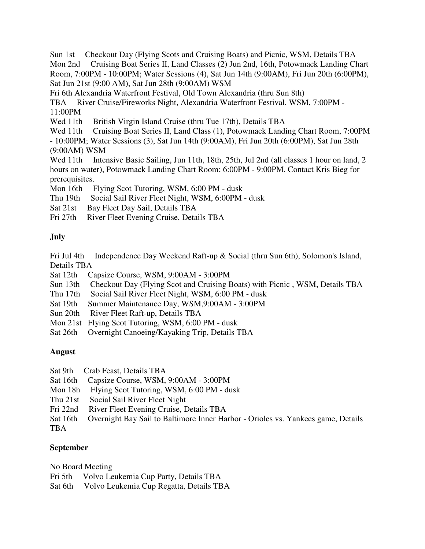Sun 1st Checkout Day (Flying Scots and Cruising Boats) and Picnic, WSM, Details TBA Mon 2nd Cruising Boat Series II, Land Classes (2) Jun 2nd, 16th, Potowmack Landing Chart Room, 7:00PM - 10:00PM; Water Sessions (4), Sat Jun 14th (9:00AM), Fri Jun 20th (6:00PM), Sat Jun 21st (9:00 AM), Sat Jun 28th (9:00AM) WSM

Fri 6th Alexandria Waterfront Festival, Old Town Alexandria (thru Sun 8th)

TBA River Cruise/Fireworks Night, Alexandria Waterfront Festival, WSM, 7:00PM - 11:00PM

Wed 11th British Virgin Island Cruise (thru Tue 17th), Details TBA

Wed 11th Cruising Boat Series II, Land Class (1), Potowmack Landing Chart Room, 7:00PM

- 10:00PM; Water Sessions (3), Sat Jun 14th (9:00AM), Fri Jun 20th (6:00PM), Sat Jun 28th (9:00AM) WSM

Wed 11th Intensive Basic Sailing, Jun 11th, 18th, 25th, Jul 2nd (all classes 1 hour on land, 2 hours on water), Potowmack Landing Chart Room; 6:00PM - 9:00PM. Contact Kris Bieg for prerequisites.

Mon 16th Flying Scot Tutoring, WSM, 6:00 PM - dusk

Thu 19th Social Sail River Fleet Night, WSM, 6:00PM - dusk

Sat 21st Bay Fleet Day Sail, Details TBA

Fri 27th River Fleet Evening Cruise, Details TBA

### **July**

Fri Jul 4th Independence Day Weekend Raft-up & Social (thru Sun 6th), Solomon's Island, Details TBA

Sat 12th Capsize Course, WSM, 9:00AM - 3:00PM

Sun 13th Checkout Day (Flying Scot and Cruising Boats) with Picnic , WSM, Details TBA

Thu 17th Social Sail River Fleet Night, WSM, 6:00 PM - dusk

- Sat 19th Summer Maintenance Day, WSM,9:00AM 3:00PM
- Sun 20th River Fleet Raft-up, Details TBA
- Mon 21st Flying Scot Tutoring, WSM, 6:00 PM dusk
- Sat 26th Overnight Canoeing/Kayaking Trip, Details TBA

### **August**

|          | Sat 9th Crab Feast, Details TBA                                                  |
|----------|----------------------------------------------------------------------------------|
| Sat 16th | Capsize Course, WSM, 9:00AM - 3:00PM                                             |
| Mon 18h  | Flying Scot Tutoring, WSM, 6:00 PM - dusk                                        |
|          | Thu 21st Social Sail River Fleet Night                                           |
|          | Fri 22nd River Fleet Evening Cruise, Details TBA                                 |
| Sat 16th | Overnight Bay Sail to Baltimore Inner Harbor - Orioles vs. Yankees game, Details |
| TBA      |                                                                                  |

### **September**

No Board Meeting

Fri 5th Volvo Leukemia Cup Party, Details TBA

Sat 6th Volvo Leukemia Cup Regatta, Details TBA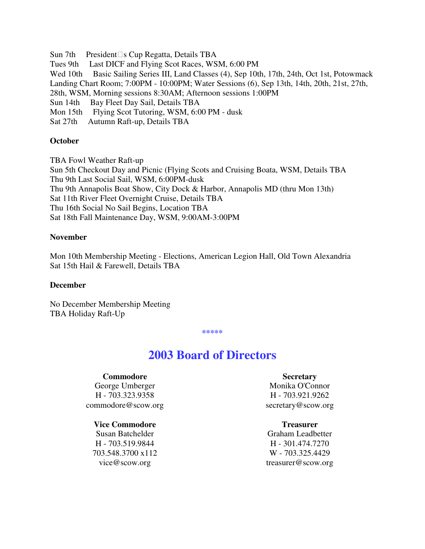Sun 7th President s Cup Regatta, Details TBA Tues 9th Last DICF and Flying Scot Races, WSM, 6:00 PM Wed 10th Basic Sailing Series III, Land Classes (4), Sep 10th, 17th, 24th, Oct 1st, Potowmack Landing Chart Room; 7:00PM - 10:00PM; Water Sessions (6), Sep 13th, 14th, 20th, 21st, 27th, 28th, WSM, Morning sessions 8:30AM; Afternoon sessions 1:00PM Sun 14th Bay Fleet Day Sail, Details TBA Mon 15th Flying Scot Tutoring, WSM, 6:00 PM - dusk Sat 27th Autumn Raft-up, Details TBA

### **October**

TBA Fowl Weather Raft-up Sun 5th Checkout Day and Picnic (Flying Scots and Cruising Boata, WSM, Details TBA Thu 9th Last Social Sail, WSM, 6:00PM-dusk Thu 9th Annapolis Boat Show, City Dock & Harbor, Annapolis MD (thru Mon 13th) Sat 11th River Fleet Overnight Cruise, Details TBA Thu 16th Social No Sail Begins, Location TBA Sat 18th Fall Maintenance Day, WSM, 9:00AM-3:00PM

### **November**

Mon 10th Membership Meeting - Elections, American Legion Hall, Old Town Alexandria Sat 15th Hail & Farewell, Details TBA

#### **December**

No December Membership Meeting TBA Holiday Raft-Up

**\*\*\*\*\***

# **2003 Board of Directors**

#### **Commodore**

George Umberger H - 703.323.9358 commodore@scow.org

#### **Vice Commodore**

Susan Batchelder H - 703.519.9844 703.548.3700 x112 vice@scow.org

#### **Secretary**

Monika O'Connor H - 703.921.9262 secretary@scow.org

#### **Treasurer**

Graham Leadbetter H - 301.474.7270 W - 703.325.4429 treasurer@scow.org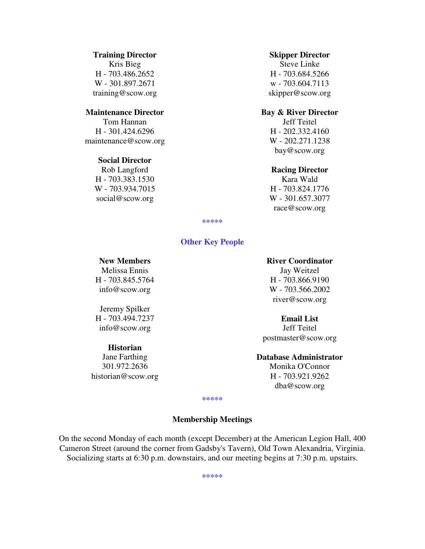### **Training Director**

Kris Bieg H - 703.486.2652 W - 301.897.2671 training@scow.org

### **Maintenance Director**

Tom Hannan H - 301.424.6296 maintenance@scow.org

#### **Social Director**

Rob Langford H - 703.383.1530 W - 703.934.7015 social@scow.org

#### **Skipper Director**

Steve Linke H - 703.684.5266 w - 703.604.7113 skipper@scow.org

### **Bay & River Director**

Jeff Teitel H - 202.332.4160 W - 202.271.1238 bay@scow.org

#### **Racing Director**

Kara Wald H - 703.824.1776 W - 301.657.3077 race@scow.org

**\*\*\*\*\***

### **Other Key People**

#### **New Members**

Melissa Ennis H - 703.845.5764 info@scow.org

Jeremy Spilker H - 703.494.7237 info@scow.org

#### **Historian**

Jane Farthing 301.972.2636 historian@scow.org

#### **River Coordinator**

Jay Weitzel H - 703.866.9190 W - 703.566.2002 river@scow.org

#### **Email List**

Jeff Teitel postmaster@scow.org

#### **Database Administrator**

Monika O'Connor H - 703.921.9262 dba@scow.org

**\*\*\*\*\***

### **Membership Meetings**

On the second Monday of each month (except December) at the American Legion Hall, 400 Cameron Street (around the corner from Gadsby's Tavern), Old Town Alexandria, Virginia. Socializing starts at 6:30 p.m. downstairs, and our meeting begins at 7:30 p.m. upstairs.

**\*\*\*\*\***